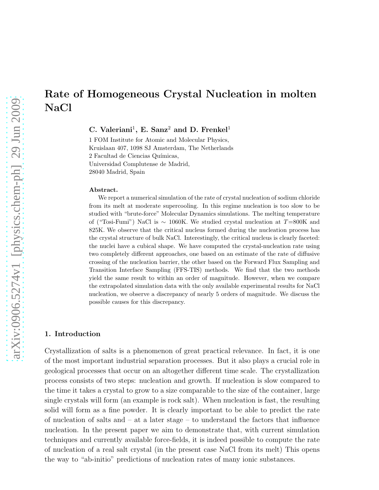# Rate of Homogeneous Crystal Nucleation in molten NaCl

C. Valeriani<sup>1</sup>, E. Sanz<sup>2</sup> and D. Frenkel<sup>1</sup>

1 FOM Institute for Atomic and Molecular Physics, Kruislaan 407, 1098 SJ Amsterdam, The Netherlands 2 Facultad de Ciencias Químicas, Universidad Complutense de Madrid, 28040 Madrid, Spain

#### Abstract.

We report a numerical simulation of the rate of crystal nucleation of sodium chloride from its melt at moderate supercooling. In this regime nucleation is too slow to be studied with "brute-force" Molecular Dynamics simulations. The melting temperature of ("Tosi-Fumi") NaCl is ∼ 1060K. We studied crystal nucleation at T=800K and 825K. We observe that the critical nucleus formed during the nucleation process has the crystal structure of bulk NaCl. Interestingly, the critical nucleus is clearly faceted: the nuclei have a cubical shape. We have computed the crystal-nucleation rate using two completely different approaches, one based on an estimate of the rate of diffusive crossing of the nucleation barrier, the other based on the Forward Flux Sampling and Transition Interface Sampling (FFS-TIS) methods. We find that the two methods yield the same result to within an order of magnitude. However, when we compare the extrapolated simulation data with the only available experimental results for NaCl nucleation, we observe a discrepancy of nearly 5 orders of magnitude. We discuss the possible causes for this discrepancy.

## 1. Introduction

Crystallization of salts is a phenomenon of great practical relevance. In fact, it is one of the most important industrial separation processes. But it also plays a crucial role in geological processes that occur on an altogether different time scale. The crystallization process consists of two steps: nucleation and growth. If nucleation is slow compared to the time it takes a crystal to grow to a size comparable to the size of the container, large single crystals will form (an example is rock salt). When nucleation is fast, the resulting solid will form as a fine powder. It is clearly important to be able to predict the rate of nucleation of salts and  $-$  at a later stage  $-$  to understand the factors that influence nucleation. In the present paper we aim to demonstrate that, with current simulation techniques and currently available force-fields, it is indeed possible to compute the rate of nucleation of a real salt crystal (in the present case NaCl from its melt) This opens the way to "ab-initio" predictions of nucleation rates of many ionic substances.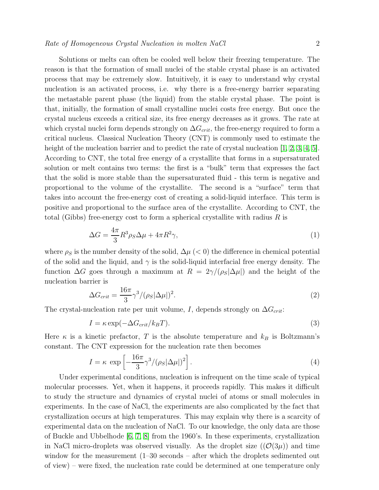Solutions or melts can often be cooled well below their freezing temperature. The reason is that the formation of small nuclei of the stable crystal phase is an activated process that may be extremely slow. Intuitively, it is easy to understand why crystal nucleation is an activated process, i.e. why there is a free-energy barrier separating the metastable parent phase (the liquid) from the stable crystal phase. The point is that, initially, the formation of small crystalline nuclei costs free energy. But once the crystal nucleus exceeds a critical size, its free energy decreases as it grows. The rate at which crystal nuclei form depends strongly on  $\Delta G_{crit}$ , the free-energy required to form a critical nucleus. Classical Nucleation Theory (CNT) is commonly used to estimate the height of the nucleation barrier and to predict the rate of crystal nucleation [\[1,](#page-10-0) [2,](#page-10-1) [3,](#page-10-2) [4,](#page-10-3) [5\]](#page-10-4). According to CNT, the total free energy of a crystallite that forms in a supersaturated solution or melt contains two terms: the first is a "bulk" term that expresses the fact that the solid is more stable than the supersaturated fluid - this term is negative and proportional to the volume of the crystallite. The second is a "surface" term that takes into account the free-energy cost of creating a solid-liquid interface. This term is positive and proportional to the surface area of the crystallite. According to CNT, the total (Gibbs) free-energy cost to form a spherical crystallite with radius  $R$  is

$$
\Delta G = \frac{4\pi}{3} R^3 \rho_S \Delta \mu + 4\pi R^2 \gamma,
$$
\n(1)

where  $\rho_S$  is the number density of the solid,  $\Delta \mu$  (< 0) the difference in chemical potential of the solid and the liquid, and  $\gamma$  is the solid-liquid interfacial free energy density. The function  $\Delta G$  goes through a maximum at  $R = 2\gamma/(\rho_S|\Delta \mu|)$  and the height of the nucleation barrier is

<span id="page-1-1"></span>
$$
\Delta G_{crit} = \frac{16\pi}{3} \gamma^3 / (\rho_S |\Delta \mu|)^2.
$$
\n(2)

The crystal-nucleation rate per unit volume, I, depends strongly on  $\Delta G_{crit}$ :

<span id="page-1-0"></span>
$$
I = \kappa \exp(-\Delta G_{crit}/k_B T). \tag{3}
$$

Here  $\kappa$  is a kinetic prefactor, T is the absolute temperature and  $k_B$  is Boltzmann's constant. The CNT expression for the nucleation rate then becomes

<span id="page-1-2"></span>
$$
I = \kappa \exp\left[-\frac{16\pi}{3}\gamma^3/(\rho_S|\Delta\mu|)^2\right].\tag{4}
$$

Under experimental conditions, nucleation is infrequent on the time scale of typical molecular processes. Yet, when it happens, it proceeds rapidly. This makes it difficult to study the structure and dynamics of crystal nuclei of atoms or small molecules in experiments. In the case of NaCl, the experiments are also complicated by the fact that crystallization occurs at high temperatures. This may explain why there is a scarcity of experimental data on the nucleation of NaCl. To our knowledge, the only data are those of Buckle and Ubbelhode [\[6,](#page-10-5) [7,](#page-10-6) [8\]](#page-10-7) from the 1960's. In these experiments, crystallization in NaCl micro-droplets was observed visually. As the droplet size  $((\mathcal{O}(3\mu))$  and time window for the measurement (1–30 seconds – after which the droplets sedimented out of view) – were fixed, the nucleation rate could be determined at one temperature only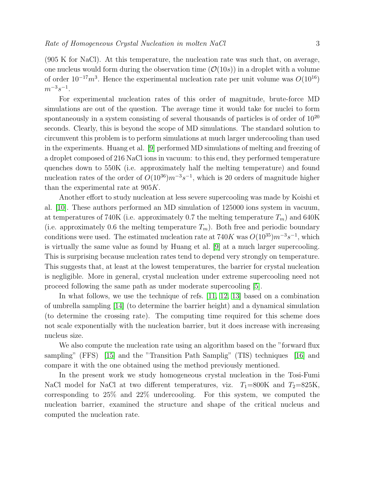(905 K for NaCl). At this temperature, the nucleation rate was such that, on average, one nucleus would form during the observation time  $(\mathcal{O}(10s))$  in a droplet with a volume of order  $10^{-17}m^3$ . Hence the experimental nucleation rate per unit volume was  $O(10^{16})$  $m^{-3}s^{-1}$ .

For experimental nucleation rates of this order of magnitude, brute-force MD simulations are out of the question. The average time it would take for nuclei to form spontaneously in a system consisting of several thousands of particles is of order of  $10^{20}$ seconds. Clearly, this is beyond the scope of MD simulations. The standard solution to circumvent this problem is to perform simulations at much larger undercooling than used in the experiments. Huang et al. [\[9\]](#page-10-8) performed MD simulations of melting and freezing of a droplet composed of 216 NaCl ions in vacuum: to this end, they performed temperature quenches down to 550K (i.e. approximately half the melting temperature) and found nucleation rates of the order of  $O(10^{36})m^{-3}s^{-1}$ , which is 20 orders of magnitude higher than the experimental rate at 905K.

Another effort to study nucleation at less severe supercooling was made by Koishi et al. [\[10\]](#page-10-9). These authors performed an MD simulation of 125000 ions system in vacuum, at temperatures of 740K (i.e. approximately 0.7 the melting temperature  $T_m$ ) and 640K (i.e. approximately 0.6 the melting temperature  $T_m$ ). Both free and periodic boundary conditions were used. The estimated nucleation rate at  $740K$  was  $O(10^{35})m^{-3}s^{-1}$ , which is virtually the same value as found by Huang et al. [\[9\]](#page-10-8) at a much larger supercooling. This is surprising because nucleation rates tend to depend very strongly on temperature. This suggests that, at least at the lowest temperatures, the barrier for crystal nucleation is negligible. More in general, crystal nucleation under extreme supercooling need not proceed following the same path as under moderate supercooling [\[5\]](#page-10-4).

In what follows, we use the technique of refs. [\[11,](#page-10-10) [12,](#page-10-11) [13\]](#page-10-12) based on a combination of umbrella sampling [\[14\]](#page-10-13) (to determine the barrier height) and a dynamical simulation (to determine the crossing rate). The computing time required for this scheme does not scale exponentially with the nucleation barrier, but it does increase with increasing nucleus size.

We also compute the nucleation rate using an algorithm based on the "forward flux sampling" (FFS) [\[15\]](#page-10-14) and the "Transition Path Samplig" (TIS) techniques [\[16\]](#page-10-15) and compare it with the one obtained using the method previously mentioned.

In the present work we study homogeneous crystal nucleation in the Tosi-Fumi NaCl model for NaCl at two different temperatures, viz.  $T_1=800K$  and  $T_2=825K$ , corresponding to 25% and 22% undercooling. For this system, we computed the nucleation barrier, examined the structure and shape of the critical nucleus and computed the nucleation rate.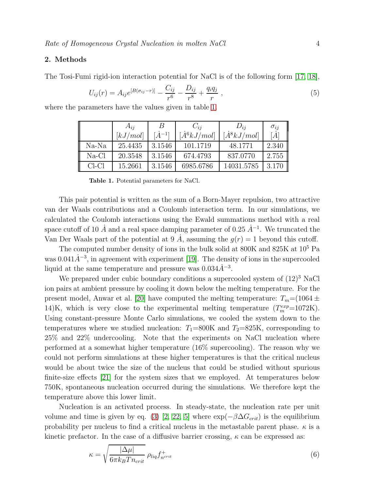# 2. Methods

The Tosi-Fumi rigid-ion interaction potential for NaCl is of the following form [\[17,](#page-10-16) [18\]](#page-10-17),

$$
U_{ij}(r) = A_{ij}e^{[B(\sigma_{ij}-r)]} - \frac{C_{ij}}{r^6} - \frac{D_{ij}}{r^8} + \frac{q_i q_j}{r} \,,\tag{5}
$$

where the parameters have the values given in table [1.](#page-3-0)

|         | $A_{ii}$ |                  | $C_{ii}$             | $D_{ij}$             | $\sigma_{ij}$ |
|---------|----------|------------------|----------------------|----------------------|---------------|
|         | [kJ/mol] | $[\dot{A}^{-1}]$ | $ \dot{A}^6 kJ/mol $ | $[\dot{A}^8 kJ/mol]$ | [A]           |
| $Na-Na$ | 25.4435  | 3.1546           | 101.1719             | 48.1771              | 2.340         |
| $Na-Cl$ | 20.3548  | 3.1546           | 674.4793             | 837.0770             | 2.755         |
| $CL-Cl$ | 15.2661  | 3.1546           | 6985.6786            | 14031.5785           | 3.170         |

<span id="page-3-0"></span>Table 1. Potential parameters for NaCl.

This pair potential is written as the sum of a Born-Mayer repulsion, two attractive van der Waals contributions and a Coulomb interaction term. In our simulations, we calculated the Coulomb interactions using the Ewald summations method with a real space cutoff of 10  $\dot{A}$  and a real space damping parameter of 0.25  $\dot{A}^{-1}$ . We truncated the Van Der Waals part of the potential at 9  $\dot{A}$ , assuming the  $g(r) = 1$  beyond this cutoff.

The computed number density of ions in the bulk solid at  $800K$  and  $825K$  at  $10<sup>5</sup>$  Pa was  $0.041\dot{A}^{-3}$ , in agreement with experiment [\[19\]](#page-10-18). The density of ions in the supercooled liquid at the same temperature and pressure was  $0.034\AA^{-3}$ .

We prepared under cubic boundary conditions a supercooled system of  $(12)^3$  NaCl ion pairs at ambient pressure by cooling it down below the melting temperature. For the present model, Anwar et al. [\[20\]](#page-10-19) have computed the melting temperature:  $T_m=(1064 \pm$ 14)K, which is very close to the experimental melting temperature  $(T_m^{exp}=1072K)$ . Using constant-pressure Monte Carlo simulations, we cooled the system down to the temperatures where we studied nucleation:  $T_1=800$ K and  $T_2=825$ K, corresponding to 25% and 22% undercooling. Note that the experiments on NaCl nucleation where performed at a somewhat higher temperature (16% supercooling). The reason why we could not perform simulations at these higher temperatures is that the critical nucleus would be about twice the size of the nucleus that could be studied without spurious finite-size effects [\[21\]](#page-10-20) for the system sizes that we employed. At temperatures below 750K, spontaneous nucleation occurred during the simulations. We therefore kept the temperature above this lower limit.

Nucleation is an activated process. In steady-state, the nucleation rate per unit volume and time is given by eq. [\(3\)](#page-1-0) [\[2,](#page-10-1) [22,](#page-10-21) [5\]](#page-10-4) where  $\exp(-\beta \Delta G_{crit})$  is the equilibrium probability per nucleus to find a critical nucleus in the metastable parent phase.  $\kappa$  is a kinetic prefactor. In the case of a diffusive barrier crossing,  $\kappa$  can be expressed as:

<span id="page-3-1"></span>
$$
\kappa = \sqrt{\frac{|\Delta \mu|}{6\pi k_B T n_{crit}}} \rho_{liq} f_{n^{crit}}^+ \tag{6}
$$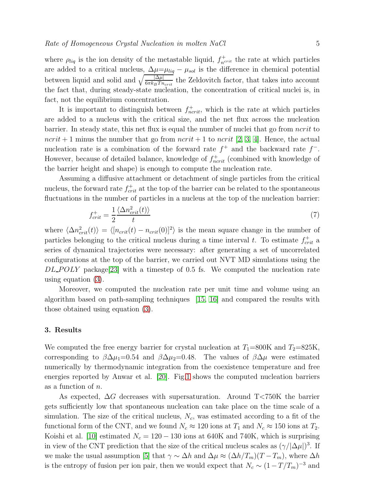where  $\rho_{liq}$  is the ion density of the metastable liquid,  $f_{n<sup>crit</sup>}^+$  the rate at which particles are added to a critical nucleus,  $\Delta \mu = \mu_{liq} - \mu_{sol}$  is the difference in chemical potential between liquid and solid and  $\sqrt{\frac{|\Delta\mu|}{6\pi k_B T n_{crit}}}$  the Zeldovitch factor, that takes into account the fact that, during steady-state nucleation, the concentration of critical nuclei is, in fact, not the equilibrium concentration.

It is important to distinguish between  $f_{ncrit}^+$ , which is the rate at which particles are added to a nucleus with the critical size, and the net flux across the nucleation barrier. In steady state, this net flux is equal the number of nuclei that go from  $ncrit$  to  $ncrit + 1$  minus the number that go from  $ncrit + 1$  to  $ncrit$  [\[2,](#page-10-1) [3,](#page-10-2) [4\]](#page-10-3). Hence, the actual nucleation rate is a combination of the forward rate  $f^+$  and the backward rate  $f^-$ . However, because of detailed balance, knowledge of  $f_{ncrit}^+$  (combined with knowledge of the barrier height and shape) is enough to compute the nucleation rate.

Assuming a diffusive attachment or detachment of single particles from the critical nucleus, the forward rate  $f_{crit}^+$  at the top of the barrier can be related to the spontaneous fluctuations in the number of particles in a nucleus at the top of the nucleation barrier:

<span id="page-4-0"></span>
$$
f_{crit}^{+} = \frac{1}{2} \frac{\langle \Delta n_{crit}^{2}(t) \rangle}{t} \tag{7}
$$

where  $\langle \Delta n_{crit}^2(t) \rangle = \langle [n_{crit}(t) - n_{crit}(0)]^2 \rangle$  is the mean square change in the number of particles belonging to the critical nucleus during a time interval t. To estimate  $f_{crit}^+$  a series of dynamical trajectories were necessary: after generating a set of uncorrelated configurations at the top of the barrier, we carried out NVT MD simulations using the  $DL$ -POLY package[\[23\]](#page-10-22) with a timestep of 0.5 fs. We computed the nucleation rate using equation [\(3\)](#page-1-0).

Moreover, we computed the nucleation rate per unit time and volume using an algorithm based on path-sampling techniques [\[15,](#page-10-14) [16\]](#page-10-15) and compared the results with those obtained using equation [\(3\)](#page-1-0).

### 3. Results

We computed the free energy barrier for crystal nucleation at  $T_1=800$ K and  $T_2=825$ K, corresponding to  $\beta \Delta \mu_1=0.54$  and  $\beta \Delta \mu_2=0.48$ . The values of  $\beta \Delta \mu$  were estimated numerically by thermodynamic integration from the coexistence temperature and free energies reported by Anwar et al. [\[20\]](#page-10-19). Fig[.1](#page-5-0) shows the computed nucleation barriers as a function of n.

As expected, ∆G decreases with supersaturation. Around T<750K the barrier gets sufficiently low that spontaneous nucleation can take place on the time scale of a simulation. The size of the critical nucleus,  $N_c$ , was estimated according to a fit of the functional form of the CNT, and we found  $N_c \approx 120$  ions at  $T_1$  and  $N_c \approx 150$  ions at  $T_2$ . Koishi et al. [\[10\]](#page-10-9) estimated  $N_c = 120 - 130$  ions at 640K and 740K, which is surprising in view of the CNT prediction that the size of the critical nucleus scales as  $(\gamma/|\Delta \mu|)^3$ . If we make the usual assumption [\[5\]](#page-10-4) that  $\gamma \sim \Delta h$  and  $\Delta \mu \approx (\Delta h / T_m)(T - T_m)$ , where  $\Delta h$ is the entropy of fusion per ion pair, then we would expect that  $N_c \sim (1 - T/T_m)^{-3}$  and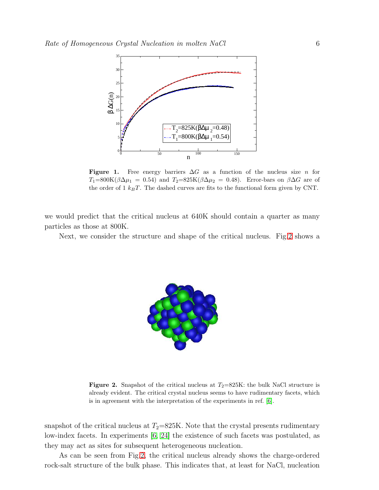

<span id="page-5-0"></span>Figure 1. Free energy barriers  $\Delta G$  as a function of the nucleus size n for  $T_1=800K(\beta\Delta\mu_1 = 0.54)$  and  $T_2=825K(\beta\Delta\mu_2 = 0.48)$ . Error-bars on  $\beta\Delta G$  are of the order of 1  $k_BT$ . The dashed curves are fits to the functional form given by CNT.

we would predict that the critical nucleus at 640K should contain a quarter as many particles as those at 800K.

Next, we consider the structure and shape of the critical nucleus. Fig[.2](#page-5-1) shows a



<span id="page-5-1"></span>**Figure 2.** Snapshot of the critical nucleus at  $T_2=825K$ : the bulk NaCl structure is already evident. The critical crystal nucleus seems to have rudimentary facets, which is in agreement with the interpretation of the experiments in ref. [\[6\]](#page-10-5).

snapshot of the critical nucleus at  $T_2=825K$ . Note that the crystal presents rudimentary low-index facets. In experiments [\[6,](#page-10-5) [24\]](#page-11-0) the existence of such facets was postulated, as they may act as sites for subsequent heterogeneous nucleation.

As can be seen from Fig[.2,](#page-5-1) the critical nucleus already shows the charge-ordered rock-salt structure of the bulk phase. This indicates that, at least for NaCl, nucleation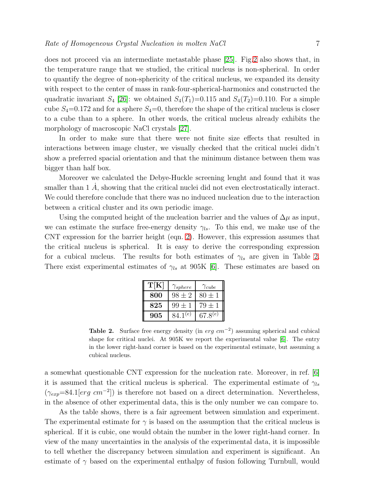does not proceed via an intermediate metastable phase [\[25\]](#page-11-1). Fig[.2](#page-5-1) also shows that, in the temperature range that we studied, the critical nucleus is non-spherical. In order to quantify the degree of non-sphericity of the critical nucleus, we expanded its density with respect to the center of mass in rank-four-spherical-harmonics and constructed the quadratic invariant  $S_4$  [\[26\]](#page-11-2): we obtained  $S_4(T_1)=0.115$  and  $S_4(T_2)=0.110$ . For a simple cube  $S_4=0.172$  and for a sphere  $S_4=0$ , therefore the shape of the critical nucleus is closer to a cube than to a sphere. In other words, the critical nucleus already exhibits the morphology of macroscopic NaCl crystals [\[27\]](#page-11-3).

In order to make sure that there were not finite size effects that resulted in interactions between image cluster, we visually checked that the critical nuclei didn't show a preferred spacial orientation and that the minimum distance between them was bigger than half box.

Moreover we calculated the Debye-Huckle screening lenght and found that it was smaller than  $1 \dot{A}$ , showing that the critical nuclei did not even electrostatically interact. We could therefore conclude that there was no induced nucleation due to the interaction between a critical cluster and its own periodic image.

Using the computed height of the nucleation barrier and the values of  $\Delta \mu$  as input, we can estimate the surface free-energy density  $\gamma_{ls}$ . To this end, we make use of the CNT expression for the barrier height (eqn. [2\)](#page-1-1). However, this expression assumes that the critical nucleus is spherical. It is easy to derive the corresponding expression for a cubical nucleus. The results for both estimates of  $\gamma_{ls}$  are given in Table [2.](#page-6-0) There exist experimental estimates of  $\gamma_{ls}$  at 905K [\[6\]](#page-10-5). These estimates are based on

| T[K] | $\gamma_{sphere}$ | $\gamma_{cube}$ |
|------|-------------------|-----------------|
| 800  | $98 + 2$          | $80 \pm 1$      |
| 825  | $99 \pm 1$        | $79 \pm 1$      |
| 905  | $84.1^{(e)}$      | $67.8^{(e)}$    |

<span id="page-6-0"></span>Table 2. Surface free energy density (in  $erg \ cm^{-2}$ ) assuming spherical and cubical shape for critical nuclei. At  $905K$  we report the experimental value [\[6\]](#page-10-5). The entry in the lower right-hand corner is based on the experimental estimate, but assuming a cubical nucleus.

a somewhat questionable CNT expression for the nucleation rate. Moreover, in ref. [\[6\]](#page-10-5) it is assumed that the critical nucleus is spherical. The experimental estimate of  $\gamma_{ls}$  $(\gamma_{exp} = 84.1[erg cm^{-2}])$  is therefore not based on a direct determination. Nevertheless, in the absence of other experimental data, this is the only number we can compare to.

As the table shows, there is a fair agreement between simulation and experiment. The experimental estimate for  $\gamma$  is based on the assumption that the critical nucleus is spherical. If it is cubic, one would obtain the number in the lower right-hand corner. In view of the many uncertainties in the analysis of the experimental data, it is impossible to tell whether the discrepancy between simulation and experiment is significant. An estimate of  $\gamma$  based on the experimental enthalpy of fusion following Turnbull, would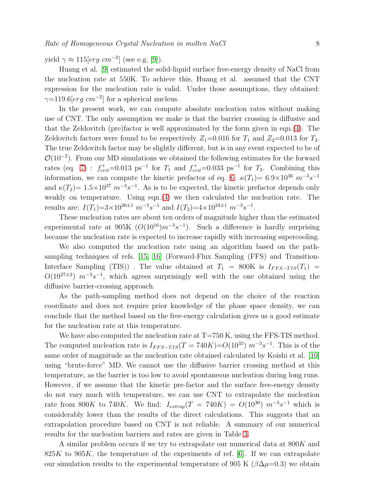yield  $\gamma \approx 115[erg \ cm^{-2}]$  (see e.g. [\[9\]](#page-10-8)).

Huang et al. [\[9\]](#page-10-8) estimated the solid-liquid surface free-energy density of NaCl from the nucleation rate at 550K. To achieve this, Huang et al. assumed that the CNT expression for the nucleation rate is valid. Under those assumptions, they obtained:  $\gamma=119.6[erg\ cm^{-2}]$  for a spherical nucleus.

In the present work, we can compute absolute nucleation rates without making use of CNT. The only assumption we make is that the barrier crossing is diffusive and that the Zeldovitch (pre)factor is well approximated by the form given in eqn.[\(4\)](#page-1-2). The Zeldovitch factors were found to be respectively  $Z_1=0.016$  for  $T_1$  and  $Z_2=0.013$  for  $T_2$ . The true Zeldovitch factor may be slightly different, but is in any event expected to be of  $\mathcal{O}(10^{-2})$ . From our MD simulations we obtained the following estimates for the forward rates (eq. [7\)](#page-4-0) :  $f_{crit}^{+}=0.013 \text{ ps}^{-1}$  for  $T_1$  and  $f_{crit}^{+}=0.033 \text{ ps}^{-1}$  for  $T_2$ . Combining this information, we can compute the kinetic prefactor of eq. [6:](#page-3-1)  $\kappa(T_1) = 6.9 \times 10^{36} \ m^{-3} s^{-1}$ and  $\kappa(T_2) = 1.5 \times 10^{37} \ m^{-3} s^{-1}$ . As is to be expected, the kinetic prefactor depends only weakly on temperature. Using eqn.[\(4\)](#page-1-2) we then calculated the nucleation rate. The results are:  $I(T_1)=3\times10^{26\pm1} m^{-3}s^{-1}$  and  $I(T_2)=4\times10^{24\pm1} m^{-3}s^{-1}$ .

These nucleation rates are about ten orders of magnitude higher than the estimated experimental rate at 905K  $(O(10^{16})m^{-3}s^{-1})$ . Such a difference is hardly surprising because the nucleation rate is expected to increase rapidly with increasing supercooling.

We also computed the nucleation rate using an algorithm based on the pathsampling techniques of refs. [\[15,](#page-10-14) [16\]](#page-10-15) (Forward-Flux Sampling (FFS) and Transition-Interface Sampling (TIS)). The value obtained at  $T_1 = 800K$  is  $I_{FFS-TIS}(T_1) =$  $O(10^{27\pm2})$   $m^{-3}s^{-1}$ , which agrees surprisingly well with the one obtained using the diffusive barrier-crossing approach.

As the path-sampling method does not depend on the choice of the reaction coordinate and does not require prior knowledge of the phase space density, we can conclude that the method based on the free-energy calculation gives us a good estimate for the nucleation rate at this temperature.

We have also computed the nucleation rate at  $T=750$  K, using the FFS-TIS method. The computed nucleation rate is  $I_{FFS-TIS}(T = 740K) = O(10^{35})$   $m^{-3}s^{-1}$ . This is of the same order of magnitude as the nucleation rate obtained calculated by Koishi et al. [\[10\]](#page-10-9) using "brute-force" MD. We cannot use the diffusive barrier crossing method at this temperature, as the barrier is too low to avoid spontaneous nucleation during long runs. However, if we assume that the kinetic pre-factor and the surface free-energy density do not vary much with temperature, we can use CNT to extrapolate the nucleation rate from 800K to 740K. We find:  $I_{extrap}(T = 740K) = O(10^{30})$   $m^{-3}s^{-1}$  which is considerably lower than the results of the direct calculations. This suggests that an extrapolation procedure based on CNT is not reliable. A summary of our numerical results for the nucleation barriers and rates are given in Table [3.](#page-8-0)

A similar problem occurs if we try to extrapolate our numerical data at 800K and  $825K$  to  $905K$ , the temperature of the experiments of ref. [\[6\]](#page-10-5). If we can extrapolate our simulation results to the experimental temperature of 905 K ( $\beta\Delta\mu=0.3$ ) we obtain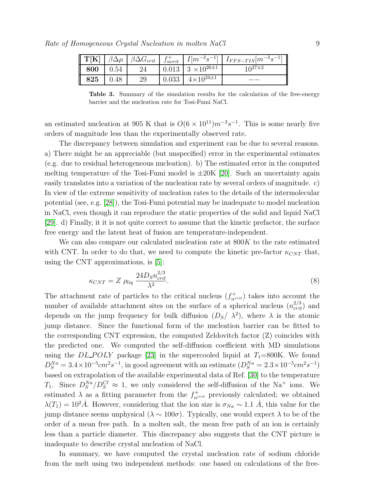| $\mathbf{T}[\mathbf{K}]$ | $\beta \Delta \mu$ | $\beta \Delta G_{crit}$ | $J_{ncrit}$ | $I[m^{-3}s^{-1}]$                   | $\parallel$<br>$I_{FFS-TIS}[m^{-3}s^{-1}]$ |
|--------------------------|--------------------|-------------------------|-------------|-------------------------------------|--------------------------------------------|
| 800                      | 0.54               | 24                      |             | $0.013 \mid 3 \times 10^{26 \pm 1}$ | $10^{27\pm2}$                              |
| 825                      | 0.48               | 29                      | 0.033       | $4 \times 10^{24 \pm 1}$            |                                            |

<span id="page-8-0"></span>Table 3. Summary of the simulation results for the calculation of the free-energy barrier and the nucleation rate for Tosi-Fumi NaCl.

an estimated nucleation at 905 K that is  $O(6 \times 10^{11})m^{-3}s^{-1}$ . This is some nearly five orders of magnitude less than the experimentally observed rate.

The discrepancy between simulation and experiment can be due to several reasons. a) There might be an appreciable (but unspecified) error in the experimental estimates (e.g. due to residual heterogeneous nucleation). b) The estimated error in the computed melting temperature of the Tosi-Fumi model is  $\pm 20K$  [\[20\]](#page-10-19). Such an uncertainty again easily translates into a variation of the nucleation rate by several orders of magnitude. c) In view of the extreme sensitivity of nucleation rates to the details of the intermolecular potential (see, e.g. [\[28\]](#page-11-4)), the Tosi-Fumi potential may be inadequate to model nucleation in NaCl, even though it can reproduce the static properties of the solid and liquid NaCl [\[29\]](#page-11-5). d) Finally, it it is not quite correct to assume that the kinetic prefactor, the surface free energy and the latent heat of fusion are temperature-independent.

We can also compare our calculated nucleation rate at  $800K$  to the rate estimated with CNT. In order to do that, we need to compute the kinetic pre-factor  $\kappa_{CNT}$  that, using the CNT approximations, is [\[5\]](#page-10-4):

$$
\kappa_{CNT} = Z \ \rho_{liq} \ \frac{24 D_S n_{crit}^{2/3}}{\lambda^2}.\tag{8}
$$

The attachment rate of particles to the critical nucleus  $(f_{n^{crit}}^+)$  takes into account the number of available attachment sites on the surface of a spherical nucleus  $(n_{crit}^{2/3})$  and depends on the jump frequency for bulk diffusion  $(D<sub>S</sub>/\lambda<sup>2</sup>)$ , where  $\lambda$  is the atomic jump distance. Since the functional form of the nucleation barrier can be fitted to the corresponding CNT expression, the computed Zeldovitch factor (Z) coincides with the predicted one. We computed the self-diffusion coefficient with MD simulations using the DL\_POLY package [\[23\]](#page-10-22) in the supercooled liquid at  $T_1=800$ K. We found  $D_S^{Na} = 3.4 \times 10^{-5} \text{cm}^2 \text{s}^{-1}$ , in good agreement with an estimate  $(D_S^{Na} = 2.3 \times 10^{-5} \text{cm}^2 \text{s}^{-1})$ based on extrapolation of the available experimental data of Ref. [\[30\]](#page-11-6) to the temperature  $T_1$ . Since  $D_S^{Na}/D_S^{Cl} \approx 1$ , we only considered the self-diffusion of the Na<sup>+</sup> ions. We estimated  $\lambda$  as a fitting parameter from the  $f_{n<sup>crit</sup>}^+$  previously calculated; we obtained  $\lambda(T_1) = 10^2 \dot{A}$ . However, considering that the ion size is  $\sigma_{Na} \sim 1.1 \dot{A}$ , this value for the jump distance seems unphysical ( $\lambda \sim 100\sigma$ ). Typically, one would expect  $\lambda$  to be of the order of a mean free path. In a molten salt, the mean free path of an ion is certainly less than a particle diameter. This discrepancy also suggests that the CNT picture is inadequate to describe crystal nucleation of NaCl.

In summary, we have computed the crystal nucleation rate of sodium chloride from the melt using two independent methods: one based on calculations of the free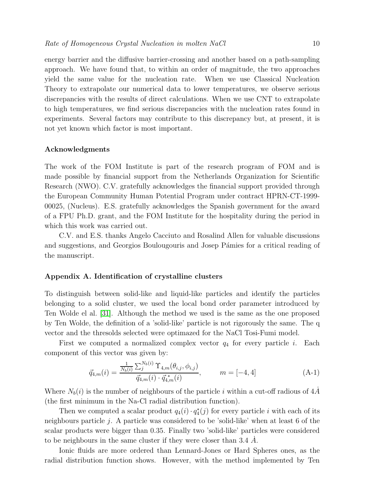energy barrier and the diffusive barrier-crossing and another based on a path-sampling approach. We have found that, to within an order of magnitude, the two approaches yield the same value for the nucleation rate. When we use Classical Nucleation Theory to extrapolate our numerical data to lower temperatures, we observe serious discrepancies with the results of direct calculations. When we use CNT to extrapolate to high temperatures, we find serious discrepancies with the nucleation rates found in experiments. Several factors may contribute to this discrepancy but, at present, it is not yet known which factor is most important.

### Acknowledgments

The work of the FOM Institute is part of the research program of FOM and is made possible by financial support from the Netherlands Organization for Scientific Research (NWO). C.V. gratefully acknowledges the financial support provided through the European Community Human Potential Program under contract HPRN-CT-1999- 00025, (Nucleus). E.S. gratefully acknowledges the Spanish government for the award of a FPU Ph.D. grant, and the FOM Institute for the hospitality during the period in which this work was carried out.

C.V. and E.S. thanks Angelo Cacciuto and Rosalind Allen for valuable discussions and suggestions, and Georgios Boulougouris and Josep Pámies for a critical reading of the manuscript.

#### Appendix A. Identification of crystalline clusters

To distinguish between solid-like and liquid-like particles and identify the particles belonging to a solid cluster, we used the local bond order parameter introduced by Ten Wolde el al. [\[31\]](#page-11-7). Although the method we used is the same as the one proposed by Ten Wolde, the definition of a 'solid-like' particle is not rigorously the same. The q vector and the thresolds selected were optimazed for the NaCl Tosi-Fumi model.

First we computed a normalized complex vector  $q_4$  for every particle *i*. Each component of this vector was given by:

$$
\vec{q}_{4,m}(i) = \frac{\frac{1}{N_b(i)} \sum_{j}^{N_b(i)} \Upsilon_{4,m}(\theta_{i,j}, \phi_{i,j})}{\vec{q}_{4,m}(i) \cdot \vec{q}_{4,m}(i)}, \qquad m = [-4, 4]
$$
\n(A-1)

Where  $N_b(i)$  is the number of neighbours of the particle i within a cut-off radious of 4A (the first minimum in the Na-Cl radial distribution function).

Then we computed a scalar product  $q_4(i) \cdot q_4^*(j)$  for every particle i with each of its neighbours particle  $j$ . A particle was considered to be 'solid-like' when at least 6 of the scalar products were bigger than 0.35. Finally two 'solid-like' particles were considered to be neighbours in the same cluster if they were closer than 3.4  $\dot{A}$ .

Ionic fluids are more ordered than Lennard-Jones or Hard Spheres ones, as the radial distribution function shows. However, with the method implemented by Ten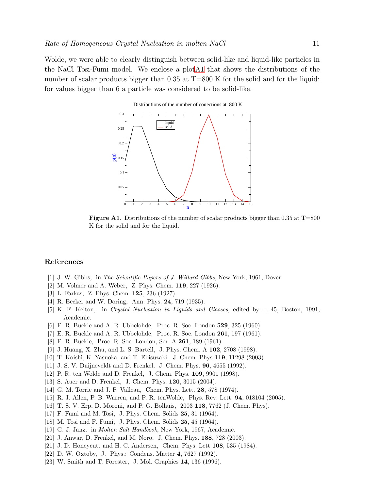Wolde, we were able to clearly distinguish between solid-like and liquid-like particles in the NaCl Tosi-Fumi model. We enclose a plo[tA1](#page-10-23) that shows the distributions of the number of scalar products bigger than 0.35 at T=800 K for the solid and for the liquid: for values bigger than 6 a particle was considered to be solid-like.





<span id="page-10-23"></span>**Figure A1.** Distributions of the number of scalar products bigger than 0.35 at  $T=800$ K for the solid and for the liquid.

## <span id="page-10-0"></span>References

- <span id="page-10-1"></span>[1] J. W. Gibbs, in The Scientific Papers of J. Willard Gibbs, New York, 1961, Dover.
- <span id="page-10-2"></span>[2] M. Volmer and A. Weber, Z. Phys. Chem. 119, 227 (1926).
- <span id="page-10-3"></span>[3] L. Farkas, Z. Phys. Chem. 125, 236 (1927).
- <span id="page-10-4"></span>[4] R. Becker and W. Doring, Ann. Phys. 24, 719 (1935).
- <span id="page-10-5"></span>[5] K. F. Kelton, in Crystal Nucleation in Liquids and Glasses, edited by .-. 45, Boston, 1991, Academic.
- <span id="page-10-6"></span>[6] E. R. Buckle and A. R. Ubbelohde, Proc. R. Soc. London 529, 325 (1960).
- <span id="page-10-7"></span>[7] E. R. Buckle and A. R. Ubbelohde, Proc. R. Soc. London 261, 197 (1961).
- <span id="page-10-8"></span>[8] E. R. Buckle, Proc. R. Soc. London, Ser. A 261, 189 (1961).
- <span id="page-10-9"></span>[9] J. Huang, X. Zhu, and L. S. Bartell, J. Phys. Chem. A 102, 2708 (1998).
- <span id="page-10-10"></span>[10] T. Koishi, K. Yasuoka, and T. Ebisuzaki, J. Chem. Phys 119, 11298 (2003).
- <span id="page-10-11"></span>[11] J. S. V. Duijneveldt and D. Frenkel, J. Chem. Phys. 96, 4655 (1992).
- <span id="page-10-12"></span>[12] P. R. ten Wolde and D. Frenkel, J. Chem. Phys. 109, 9901 (1998).
- <span id="page-10-13"></span>[13] S. Auer and D. Frenkel, J. Chem. Phys. 120, 3015 (2004).
- <span id="page-10-14"></span>[14] G. M. Torrie and J. P. Valleau, Chem. Phys. Lett. 28, 578 (1974).
- <span id="page-10-15"></span>[15] R. J. Allen, P. B. Warren, and P. R. tenWolde, Phys. Rev. Lett. 94, 018104 (2005).
- <span id="page-10-16"></span>[16] T. S. V. Erp, D. Moroni, and P. G. Bolhuis, 2003 118, 7762 (J. Chem. Phys).
- <span id="page-10-17"></span>[17] F. Fumi and M. Tosi, J. Phys. Chem. Solids 25, 31 (1964).
- <span id="page-10-18"></span>[18] M. Tosi and F. Fumi, J. Phys. Chem. Solids 25, 45 (1964).
- <span id="page-10-19"></span>[19] G. J. Janz, in Molten Salt Handbook, New York, 1967, Academic.
- <span id="page-10-20"></span>[20] J. Anwar, D. Frenkel, and M. Noro, J. Chem. Phys. 188, 728 (2003).
- <span id="page-10-21"></span>[21] J. D. Honeycutt and H. C. Andersen, Chem. Phys. Lett 108, 535 (1984).
- <span id="page-10-22"></span>[22] D. W. Oxtoby, J. Phys.: Condens. Matter 4, 7627 (1992).
- [23] W. Smith and T. Forester, J. Mol. Graphics 14, 136 (1996).